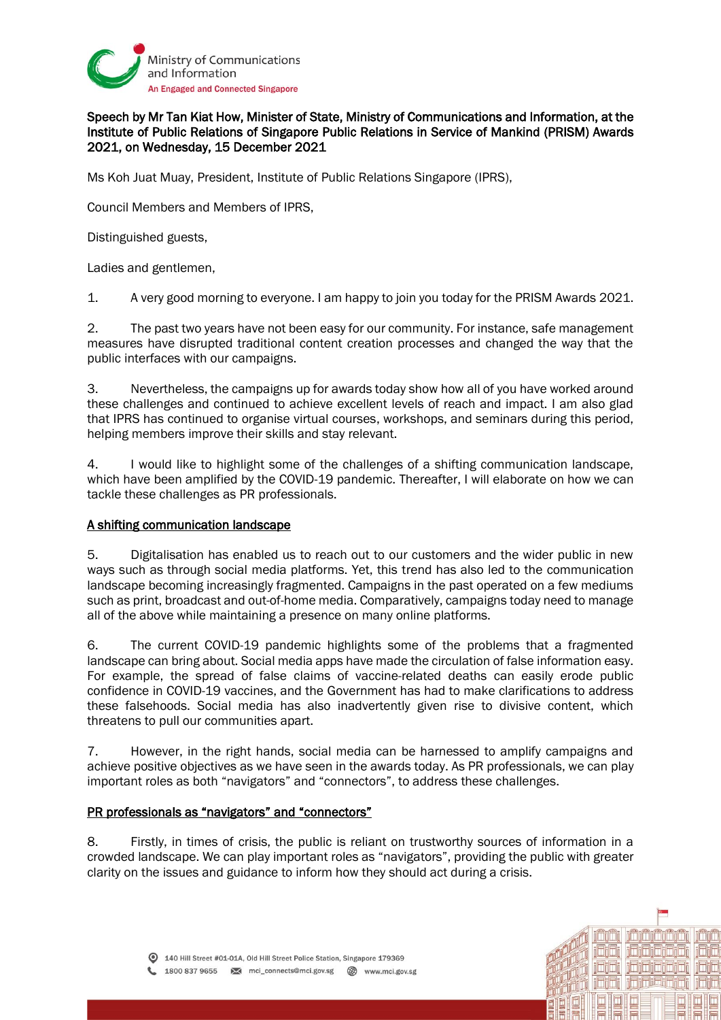

## Speech by Mr Tan Kiat How, Minister of State, Ministry of Communications and Information, at the Institute of Public Relations of Singapore Public Relations in Service of Mankind (PRISM) Awards 2021, on Wednesday, 15 December 2021

Ms Koh Juat Muay, President, Institute of Public Relations Singapore (IPRS),

Council Members and Members of IPRS,

Distinguished guests,

Ladies and gentlemen,

1. A very good morning to everyone. I am happy to join you today for the PRISM Awards 2021.

2. The past two years have not been easy for our community. For instance, safe management measures have disrupted traditional content creation processes and changed the way that the public interfaces with our campaigns.

3. Nevertheless, the campaigns up for awards today show how all of you have worked around these challenges and continued to achieve excellent levels of reach and impact. I am also glad that IPRS has continued to organise virtual courses, workshops, and seminars during this period, helping members improve their skills and stay relevant.

4. I would like to highlight some of the challenges of a shifting communication landscape, which have been amplified by the COVID-19 pandemic. Thereafter, I will elaborate on how we can tackle these challenges as PR professionals.

## A shifting communication landscape

5. Digitalisation has enabled us to reach out to our customers and the wider public in new ways such as through social media platforms. Yet, this trend has also led to the communication landscape becoming increasingly fragmented. Campaigns in the past operated on a few mediums such as print, broadcast and out-of-home media. Comparatively, campaigns today need to manage all of the above while maintaining a presence on many online platforms.

6. The current COVID-19 pandemic highlights some of the problems that a fragmented landscape can bring about. Social media apps have made the circulation of false information easy. For example, the spread of false claims of vaccine-related deaths can easily erode public confidence in COVID-19 vaccines, and the Government has had to make clarifications to address these falsehoods. Social media has also inadvertently given rise to divisive content, which threatens to pull our communities apart.

7. However, in the right hands, social media can be harnessed to amplify campaigns and achieve positive objectives as we have seen in the awards today. As PR professionals, we can play important roles as both "navigators" and "connectors", to address these challenges.

## PR professionals as "navigators" and "connectors"

8. Firstly, in times of crisis, the public is reliant on trustworthy sources of information in a crowded landscape. We can play important roles as "navigators", providing the public with greater clarity on the issues and guidance to inform how they should act during a crisis.

nmnm

**ininingin**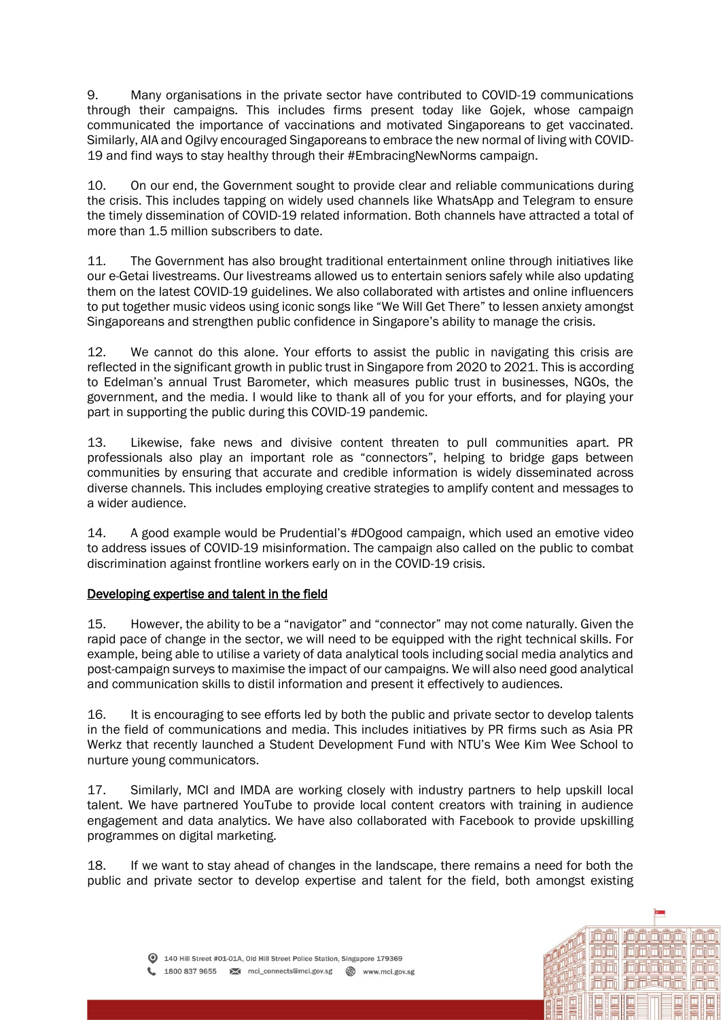9. Many organisations in the private sector have contributed to COVID-19 communications through their campaigns. This includes firms present today like Gojek, whose campaign communicated the importance of vaccinations and motivated Singaporeans to get vaccinated. Similarly, AIA and Ogilvy encouraged Singaporeans to embrace the new normal of living with COVID-19 and find ways to stay healthy through their #EmbracingNewNorms campaign.

10. On our end, the Government sought to provide clear and reliable communications during the crisis. This includes tapping on widely used channels like WhatsApp and Telegram to ensure the timely dissemination of COVID-19 related information. Both channels have attracted a total of more than 1.5 million subscribers to date.

11. The Government has also brought traditional entertainment online through initiatives like our e-Getai livestreams. Our livestreams allowed us to entertain seniors safely while also updating them on the latest COVID-19 guidelines. We also collaborated with artistes and online influencers to put together music videos using iconic songs like "We Will Get There" to lessen anxiety amongst Singaporeans and strengthen public confidence in Singapore's ability to manage the crisis.

12. We cannot do this alone. Your efforts to assist the public in navigating this crisis are reflected in the significant growth in public trust in Singapore from 2020 to 2021. This is according to Edelman's annual Trust Barometer, which measures public trust in businesses, NGOs, the government, and the media. I would like to thank all of you for your efforts, and for playing your part in supporting the public during this COVID-19 pandemic.

13. Likewise, fake news and divisive content threaten to pull communities apart. PR professionals also play an important role as "connectors", helping to bridge gaps between communities by ensuring that accurate and credible information is widely disseminated across diverse channels. This includes employing creative strategies to amplify content and messages to a wider audience.

14. A good example would be Prudential's #DOgood campaign, which used an emotive video to address issues of COVID-19 misinformation. The campaign also called on the public to combat discrimination against frontline workers early on in the COVID-19 crisis.

## Developing expertise and talent in the field

15. However, the ability to be a "navigator" and "connector" may not come naturally. Given the rapid pace of change in the sector, we will need to be equipped with the right technical skills. For example, being able to utilise a variety of data analytical tools including social media analytics and post-campaign surveys to maximise the impact of our campaigns. We will also need good analytical and communication skills to distil information and present it effectively to audiences.

16. It is encouraging to see efforts led by both the public and private sector to develop talents in the field of communications and media. This includes initiatives by PR firms such as Asia PR Werkz that recently launched a Student Development Fund with NTU's Wee Kim Wee School to nurture young communicators.

17. Similarly, MCI and IMDA are working closely with industry partners to help upskill local talent. We have partnered YouTube to provide local content creators with training in audience engagement and data analytics. We have also collaborated with Facebook to provide upskilling programmes on digital marketing.

18. If we want to stay ahead of changes in the landscape, there remains a need for both the public and private sector to develop expertise and talent for the field, both amongst existing

ilmin ilmin ilmin min

i viri i i rivi vivi vi

ididi jainstajaj